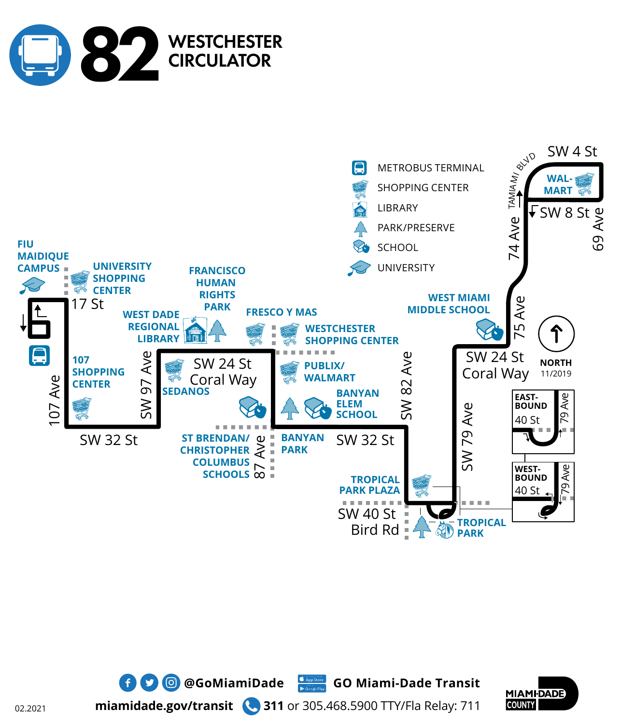







**miamidade.gov/transit 311** or 305.468.5900 TTY/Fla Relay: 711